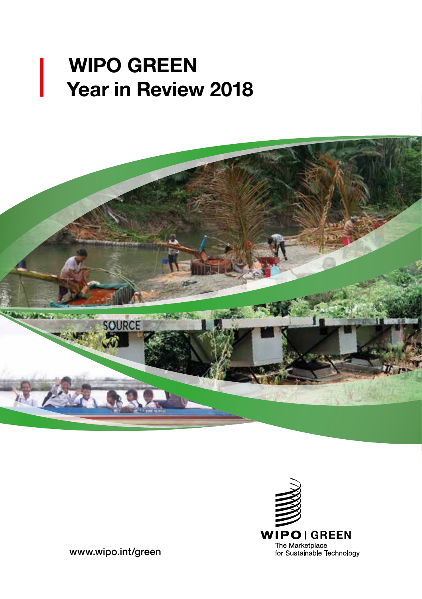# WIPO GREEN Year in Review 2018





[www.wipo.int/green](https://www.wipo.int/green)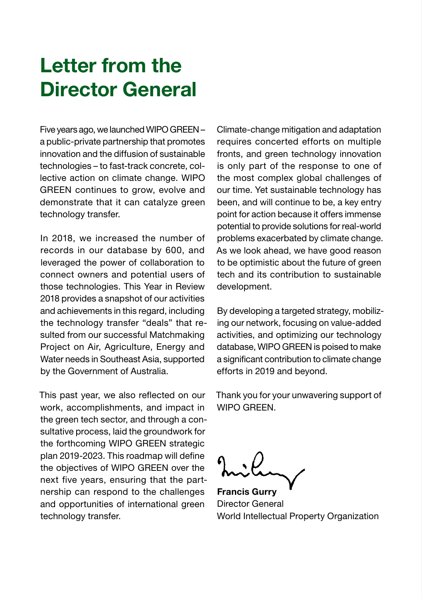## Letter from the Director General

Five years ago, we launched WIPO GREEN – a public-private partnership that promotes innovation and the diffusion of sustainable technologies – to fast-track concrete, collective action on climate change. WIPO GREEN continues to grow, evolve and demonstrate that it can catalyze green technology transfer.

In 2018, we increased the number of records in our database by 600, and leveraged the power of collaboration to connect owners and potential users of those technologies. This Year in Review 2018 provides a snapshot of our activities and achievements in this regard, including the technology transfer "deals" that resulted from our successful Matchmaking Project on Air, Agriculture, Energy and Water needs in Southeast Asia, supported by the Government of Australia.

This past year, we also reflected on our work, accomplishments, and impact in the green tech sector, and through a consultative process, laid the groundwork for the forthcoming WIPO GREEN strategic plan 2019-2023. This roadmap will define the objectives of WIPO GREEN over the next five years, ensuring that the partnership can respond to the challenges and opportunities of international green technology transfer.

Climate-change mitigation and adaptation requires concerted efforts on multiple fronts, and green technology innovation is only part of the response to one of the most complex global challenges of our time. Yet sustainable technology has been, and will continue to be, a key entry point for action because it offers immense potential to provide solutions for real-world problems exacerbated by climate change. As we look ahead, we have good reason to be optimistic about the future of green tech and its contribution to sustainable development.

By developing a targeted strategy, mobilizing our network, focusing on value-added activities, and optimizing our technology database, WIPO GREEN is poised to make a significant contribution to climate change efforts in 2019 and beyond.

Thank you for your unwavering support of WIPO GREEN.

Francis Gurry Director General World Intellectual Property Organization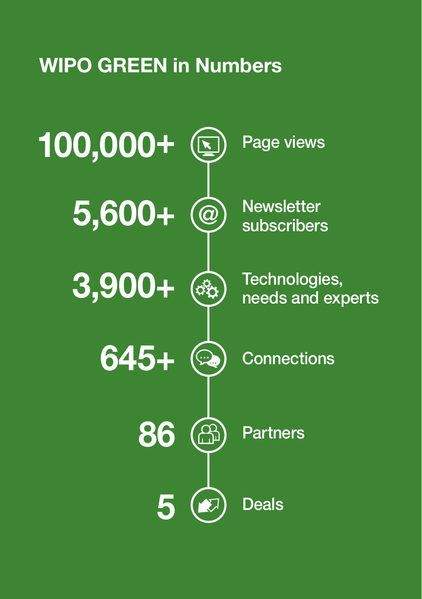# WIPO GREEN in Numbers

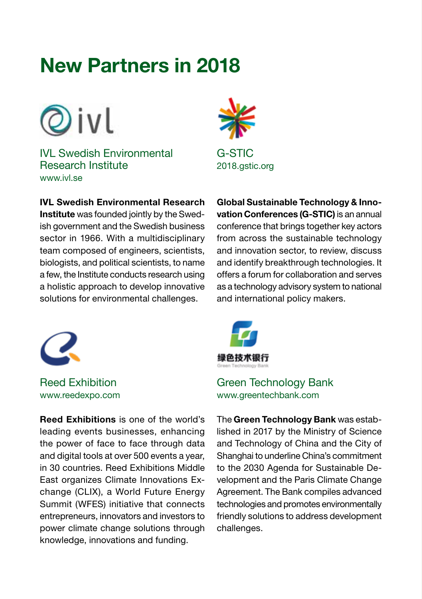## New Partners in 2018



IVL Swedish Environmental Research Institute [www.ivl.se](https://www.ivl.se)

IVL Swedish Environmental Research

Institute was founded jointly by the Swedish government and the Swedish business sector in 1966. With a multidisciplinary team composed of engineers, scientists, biologists, and political scientists, to name a few, the Institute conducts research using a holistic approach to develop innovative solutions for environmental challenges.



Reed Exhibition [www.reedexpo.com](http://www.reedexpo.com)

Reed Exhibitions is one of the world's leading events businesses, enhancing the power of face to face through data and digital tools at over 500 events a year, in 30 countries. Reed Exhibitions Middle East organizes Climate Innovations Exchange (CLIX), a World Future Energy Summit (WFES) initiative that connects entrepreneurs, innovators and investors to power climate change solutions through knowledge, innovations and funding.



Global Sustainable Technology & Innovation Conferences (G-STIC) is an annual conference that brings together key actors from across the sustainable technology and innovation sector, to review, discuss and identify breakthrough technologies. It offers a forum for collaboration and serves as a technology advisory system to national and international policy makers.



### Green Technology Bank [www.greentechbank.com](http://www.greentechbank.com)

The Green Technology Bank was established in 2017 by the Ministry of Science and Technology of China and the City of Shanghai to underline China's commitment to the 2030 Agenda for Sustainable Development and the Paris Climate Change Agreement. The Bank compiles advanced technologies and promotes environmentally friendly solutions to address development challenges.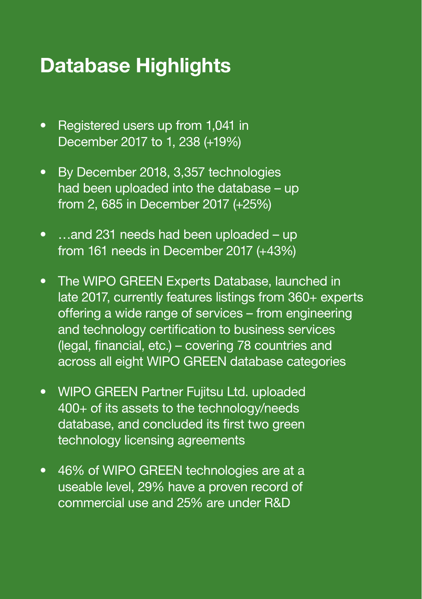# Database Highlights

- Registered users up from 1,041 in December 2017 to 1, 238 (+19%)
- By December 2018, 3,357 technologies had been uploaded into the database – up from 2, 685 in December 2017 (+25%)
- ...and 231 needs had been uploaded up from 161 needs in December 2017 (+43%)
- The WIPO GREEN Experts Database, launched in late 2017, currently features listings from 360+ experts offering a wide range of services – from engineering and technology certification to business services (legal, financial, etc.) – covering 78 countries and across all eight WIPO GREEN database categories
- WIPO GREEN Partner Fujitsu Ltd. uploaded 400+ of its assets to the technology/needs database, and concluded its first two green technology licensing agreements
- 46% of WIPO GREEN technologies are at a useable level, 29% have a proven record of commercial use and 25% are under R&D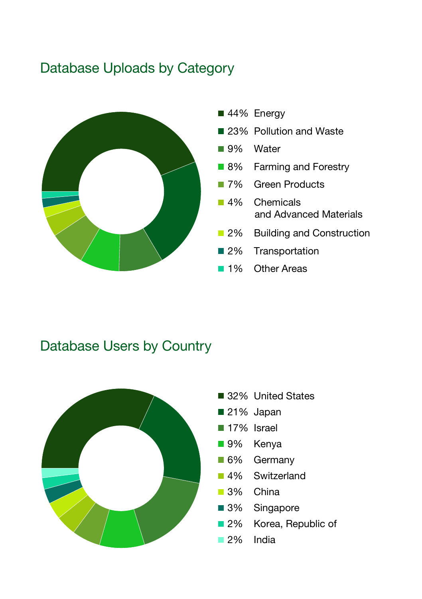### Database Uploads by Category



### Database Users by Country

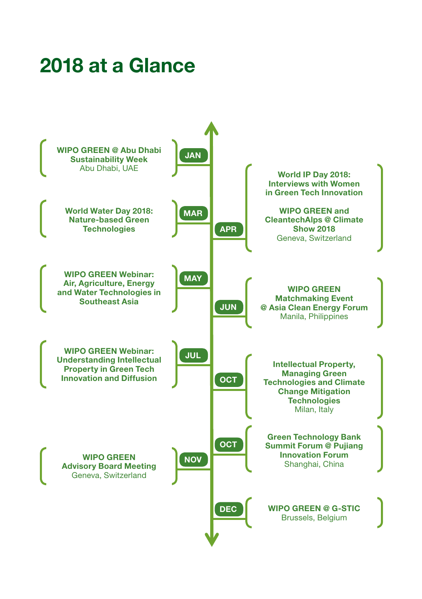# 2018 at a Glance

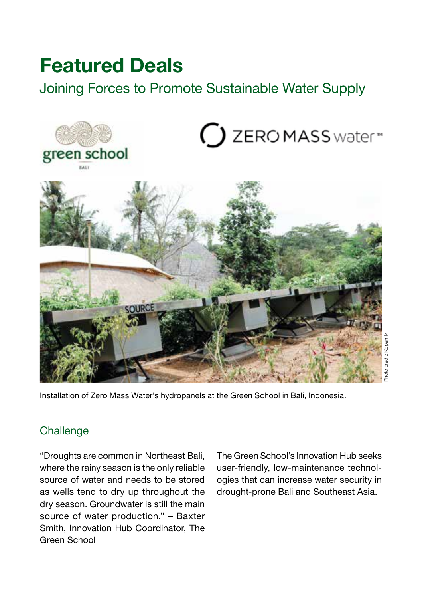## Featured Deals

Joining Forces to Promote Sustainable Water Supply



Installation of Zero Mass Water's hydropanels at the Green School in Bali, Indonesia.

### **Challenge**

"Droughts are common in Northeast Bali, where the rainy season is the only reliable source of water and needs to be stored as wells tend to dry up throughout the dry season. Groundwater is still the main source of water production." – Baxter Smith, Innovation Hub Coordinator, The Green School

The Green School's Innovation Hub seeks user-friendly, low-maintenance technologies that can increase water security in drought-prone Bali and Southeast Asia.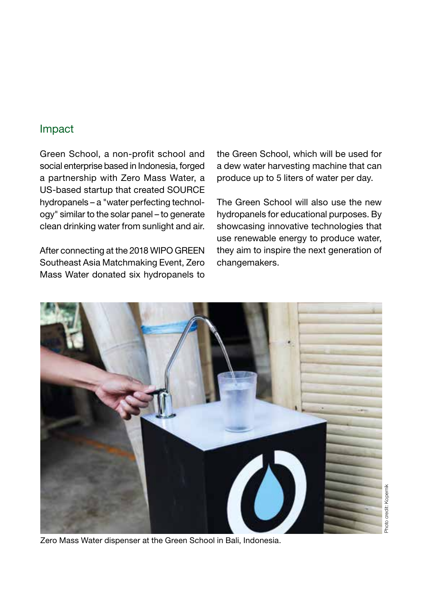### Impact

Green School, a non-profit school and social enterprise based in Indonesia, forged a partnership with Zero Mass Water, a US-based startup that created SOURCE hydropanels – a "water perfecting technology" similar to the solar panel – to generate clean drinking water from sunlight and air.

After connecting at the 2018 WIPO GREEN Southeast Asia Matchmaking Event, Zero Mass Water donated six hydropanels to

the Green School, which will be used for a dew water harvesting machine that can produce up to 5 liters of water per day.

The Green School will also use the new hydropanels for educational purposes. By showcasing innovative technologies that use renewable energy to produce water, they aim to inspire the next generation of changemakers.



Zero Mass Water dispenser at the Green School in Bali, Indonesia.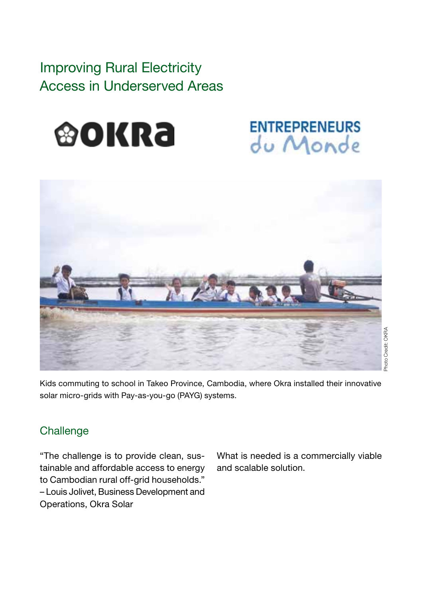## Improving Rural Electricity Access in Underserved Areas



## **ENTREPRENEURS** du Monde



Kids commuting to school in Takeo Province, Cambodia, where Okra installed their innovative solar micro-grids with Pay-as-you-go (PAYG) systems.

### **Challenge**

"The challenge is to provide clean, sustainable and affordable access to energy to Cambodian rural off-grid households." – Louis Jolivet, Business Development and Operations, Okra Solar

What is needed is a commercially viable and scalable solution.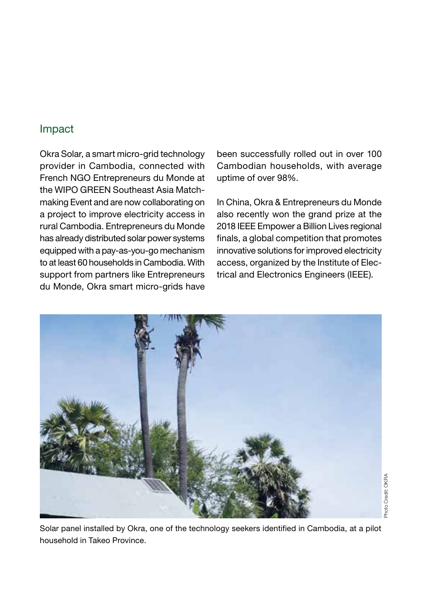### Impact

Okra Solar, a smart micro-grid technology provider in Cambodia, connected with French NGO Entrepreneurs du Monde at the WIPO GREEN Southeast Asia Matchmaking Event and are now collaborating on a project to improve electricity access in rural Cambodia. Entrepreneurs du Monde has already distributed solar power systems equipped with a pay-as-you-go mechanism to at least 60 households in Cambodia. With support from partners like Entrepreneurs du Monde, Okra smart micro-grids have

been successfully rolled out in over 100 Cambodian households, with average uptime of over 98%.

In China, Okra & Entrepreneurs du Monde also recently won the grand prize at the 2018 IEEE Empower a Billion Lives regional finals, a global competition that promotes innovative solutions for improved electricity access, organized by the Institute of Electrical and Electronics Engineers (IEEE).



Solar panel installed by Okra, one of the technology seekers identified in Cambodia, at a pilot household in Takeo Province.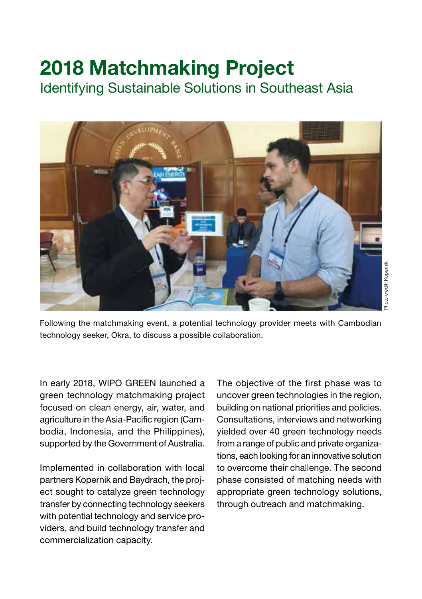# 2018 Matchmaking Project

Identifying Sustainable Solutions in Southeast Asia



Following the matchmaking event, a potential technology provider meets with Cambodian technology seeker, Okra, to discuss a possible collaboration.

In early 2018, WIPO GREEN launched a green technology matchmaking project focused on clean energy, air, water, and agriculture in the Asia-Pacific region (Cambodia, Indonesia, and the Philippines), supported by the Government of Australia.

Implemented in collaboration with local partners Kopernik and Baydrach, the project sought to catalyze green technology transfer by connecting technology seekers with potential technology and service providers, and build technology transfer and commercialization capacity.

The objective of the first phase was to uncover green technologies in the region, building on national priorities and policies. Consultations, interviews and networking yielded over 40 green technology needs from a range of public and private organizations, each looking for an innovative solution to overcome their challenge. The second phase consisted of matching needs with appropriate green technology solutions, through outreach and matchmaking.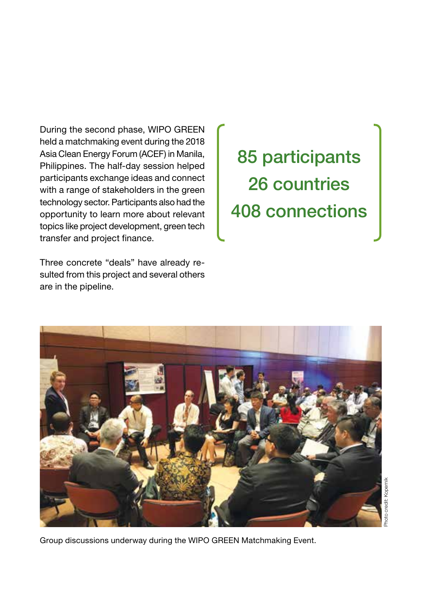During the second phase, WIPO GREEN held a matchmaking event during the 2018 Asia Clean Energy Forum (ACEF) in Manila, Philippines. The half-day session helped participants exchange ideas and connect with a range of stakeholders in the green technology sector. Participants also had the opportunity to learn more about relevant topics like project development, green tech transfer and project finance.

Three concrete "deals" have already resulted from this project and several others are in the pipeline.

85 participants 26 countries 408 connections

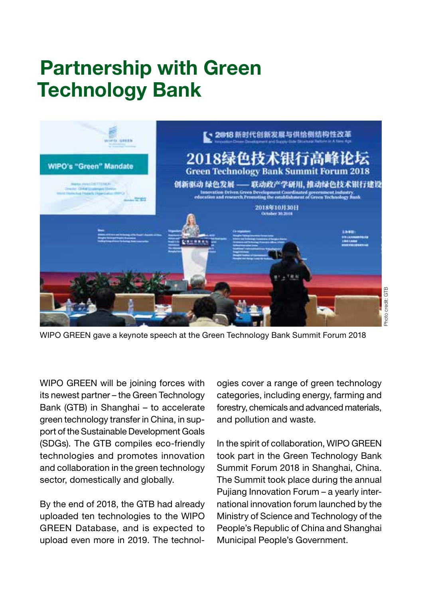# Partnership with Green Technology Bank



WIPO GREEN gave a keynote speech at the Green Technology Bank Summit Forum 2018

WIPO GREEN will be joining forces with its newest partner – the Green Technology Bank (GTB) in Shanghai – to accelerate green technology transfer in China, in support of the Sustainable Development Goals (SDGs). The GTB compiles eco-friendly technologies and promotes innovation and collaboration in the green technology sector, domestically and globally.

By the end of 2018, the GTB had already uploaded ten technologies to the WIPO GREEN Database, and is expected to upload even more in 2019. The technol-

ogies cover a range of green technology categories, including energy, farming and forestry, chemicals and advanced materials, and pollution and waste.

In the spirit of collaboration, WIPO GREEN took part in the Green Technology Bank Summit Forum 2018 in Shanghai, China. The Summit took place during the annual Pujiang Innovation Forum – a yearly international innovation forum launched by the Ministry of Science and Technology of the People's Republic of China and Shanghai Municipal People's Government.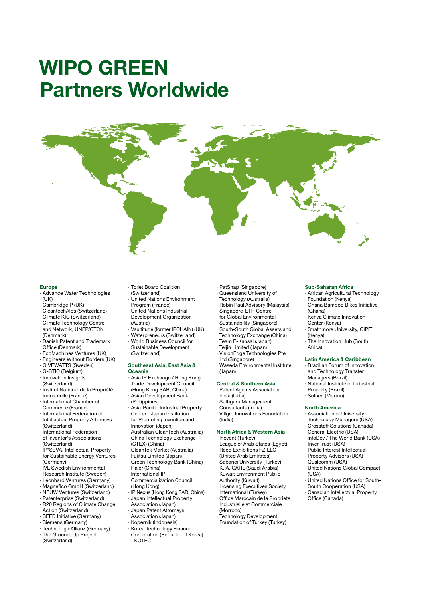## WIPO GREEN Partners Worldwide



#### Europe

- ∙ Advance Water Technologies  $(11K)$
- ∙ CambridgeIP (UK)
- ∙ CleantechAlps (Switzerland)
- ∙ Climate KIC (Switzerland)
- ∙ Climate Technology Centre and Network, UNEP/CTCN (Denmark)
- ∙ Danish Patent and Trademark Office (Denmark)
- ∙ EcoMachines Ventures (UK)
- ∙ Engineers Without Borders (UK)
- ∙ GIVEWATTS (Sweden)
- ∙ G-STIC (Belgium)
- ∙ Innovation Insights (Switzerland)
- ∙ Institut National de la Propriété Industrielle (France)
- ∙ International Chamber of
- Commerce (France) ∙ International Federation of
- Intellectual Property Attorneys (Switzerland) ∙ International Federation
- of Inventor's Associations (Switzerland)
- ∙ IP\*SEVA, Intellectual Property for Sustainable Energy Ventures (Germany)
- ∙ IVL Swedish Environmental
- Research Institute (Sweden)
- ∙ Leonhard Ventures (Germany)
- ∙ Magnefico GmbH (Switzerland) ∙ NEUW Ventures (Switzerland)
- ∙ Patenterprise (Switzerland)
- ∙ R20 Regions of Climate Change Action (Switzerland)
- ∙ SEED Initiative (Germany)
- ∙ Siemens (Germany)
- ∙ TechnologieAllianz (Germany)
- ∙ The Ground\_Up Project
- (Switzerland)
- ∙ Toilet Board Coalition
- (Switzerland)
- ∙ United Nations Environment
- Program (France) ∙ United Nations Industrial
- Development Organization (Austria)
- ∙ Vaultitude (former IPCHAIN) (UK)
- ∙ Waterpreneurs (Switzerland) ∙ World Business Council for
- Sustainable Development (Switzerland)

#### Southeast Asia, East Asia & Oceania

- ∙ Asia IP Exchange / Hong Kong Trade Development Council
- (Hong Kong SAR, China)
- ∙ Asian Development Bank
- (Philippines) ∙ Asia-Pacific Industrial Property Center - Japan Institution
- for Promoting Invention and Innovation (Japan) ∙ Australian CleanTech (Australia)
- ∙ China Technology Exchange (CTEX) (China)
- ∙ CleanTek Market (Australia)
- ∙ Fujitsu Limited (Japan)
- ∙ Green Technology Bank (China)
- ∙ Haier (China)
- ∙ International IP
	- Commercialization Council
- (Hong Kong) ∙ IP Nexus (Hong Kong SAR, China)
- ∙ Japan Intellectual Property
- Association (Japan)
- ∙ Japan Patent Attorneys
- Association (Japan)
- ∙ Kopernik (Indonesia)
- ∙ Korea Technology Finance Corporation (Republic of Korea) - KOTEC
- ∙ PatSnap (Singapore)
- ∙ Queensland University of
- Technology (Australia) ∙ Robin Paul Advisory (Malaysia)
- ∙ Singapore-ETH Centre for Global Environmental
- Sustainability (Singapore) ∙ South-South Global Assets and
- Technology Exchange (China) ∙ Team E-Kansai (Japan)
- ∙ Teijin Limited (Japan)
- ∙ VisionEdge Technologies Pte Ltd (Singapore)
- ∙ Waseda Environmental Institute (Japan)

### Central & Southern Asia

- ∙ Patent Agents Association, India (India)
- ∙ Sathguru Management Consultants (India)
- ∙ Villgro Innovations Foundation
- (India)

#### North Africa & Western Asia ∙ Inovent (Turkey)

- ∙ League of Arab States (Egypt)
- ∙ Reed Exhibitions FZ-LLC (United Arab Emirates)
- ∙ Sabancı University (Turkey)
- ∙ K. A. CARE (Saudi Arabia)
- ∙ Kuwait Environment Public
- Authority (Kuwait) ∙ Licensing Executives Society
- International (Turkey) ∙ Office Marocain de la Propriete
- Industrielle et Commerciale (Morroco) ∙ Technology Development
- Foundation of Turkey (Turkey)

#### Sub-Saharan Africa

- ∙ African Agricultural Technology Foundation (Kenya)
- ∙ Ghana Bamboo Bikes Initiative (Ghana)
- ∙ Kenya Climate Innovation Center (Kenya)
- ∙ Strathmore University, CIPIT (Kenya)
- ∙ The Innovation Hub (South Africa)

#### Latin America & Caribbean

- ∙ Brazilian Forum of Innovation and Technology Transfer Managers (Brazil)
- ∙ National Institute of Industrial
- Property (Brazil) ∙ Solben (Mexico)
- 

### North America

- ∙ Association of University Technology Managers (USA)
- ∙ Crosstaff Solutions (Canada)
- ∙ General Electric (USA)
- ∙ infoDev / The World Bank (USA)

∙ United Nations Office for South-South Cooperation (USA) ∙ Canadian Intellectual Property Office (Canada)

∙ InvenTrust (USA) ∙ Public Interest Intellectual Property Advisors (USA)

∙ Qualcomm (USA) ∙ United Nations Global Compact

 $(1|S_A)$